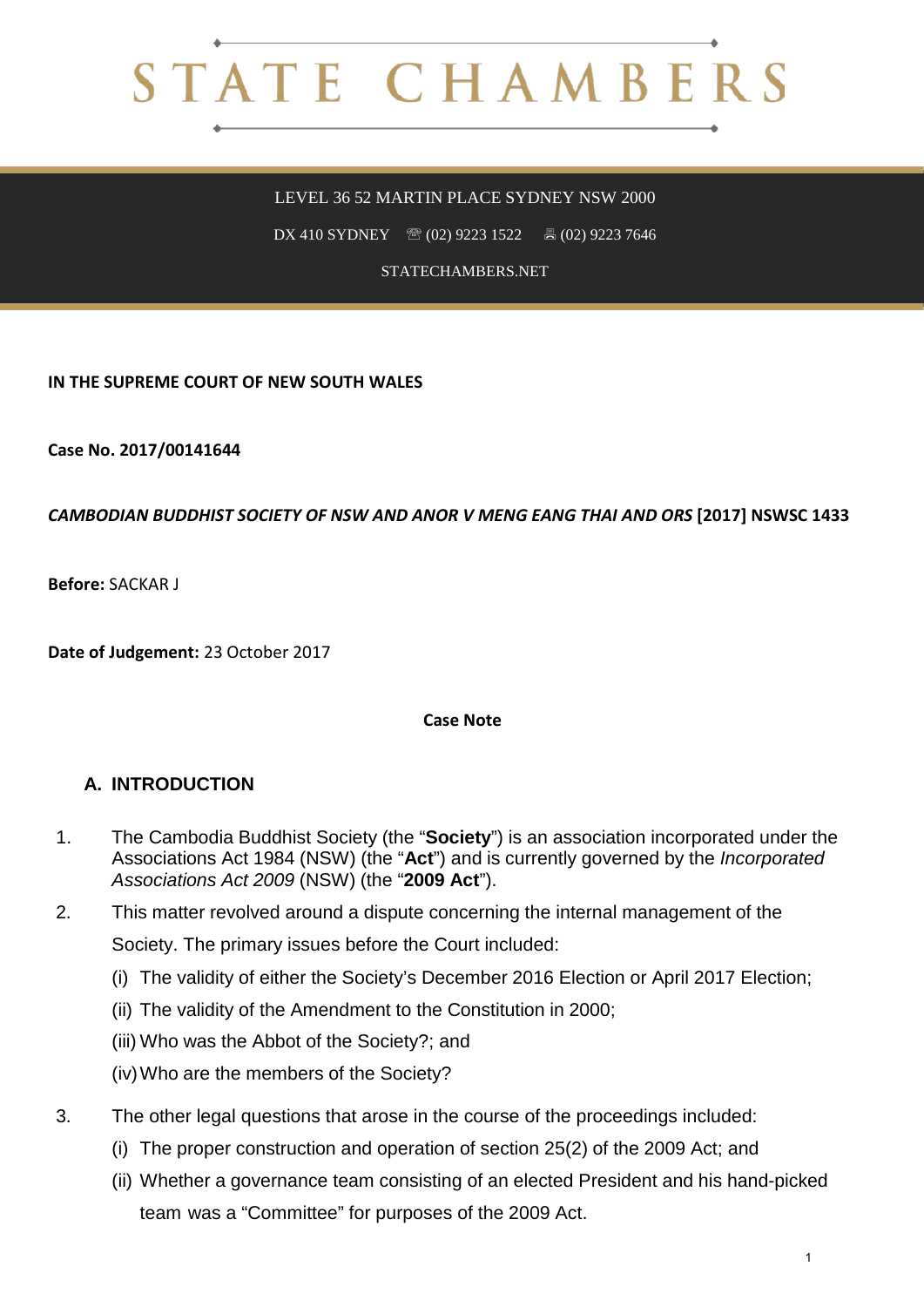# STATE CHAMBERS

LEVEL 36 52 MARTIN PLACE SYDNEY NSW 2000

DX 410 SYDNEY <sup>3</sup> (02) 9223 1522 **4** (02) 9223 7646

STATECHAMBERS.NET

**IN THE SUPREME COURT OF NEW SOUTH WALES**

**Case No. 2017/00141644**

#### *CAMBODIAN BUDDHIST SOCIETY OF NSW AND ANOR V MENG EANG THAI AND ORS* **[2017] NSWSC 1433**

**Before:** SACKAR J

**Date of Judgement:** 23 October 2017

#### **Case Note**

## **A. INTRODUCTION**

- 1. The Cambodia Buddhist Society (the "**Society**") is an association incorporated under the Associations Act 1984 (NSW) (the "**Act**") and is currently governed by the *Incorporated Associations Act 2009* (NSW) (the "**2009 Act**").
- 2. This matter revolved around a dispute concerning the internal management of the Society. The primary issues before the Court included:
	- (i) The validity of either the Society's December 2016 Election or April 2017 Election;
	- (ii) The validity of the Amendment to the Constitution in 2000;
	- (iii) Who was the Abbot of the Society?; and
	- (iv)Who are the members of the Society?
- 3. The other legal questions that arose in the course of the proceedings included:
	- (i) The proper construction and operation of section 25(2) of the 2009 Act; and
	- (ii) Whether a governance team consisting of an elected President and his hand-picked team was a "Committee" for purposes of the 2009 Act.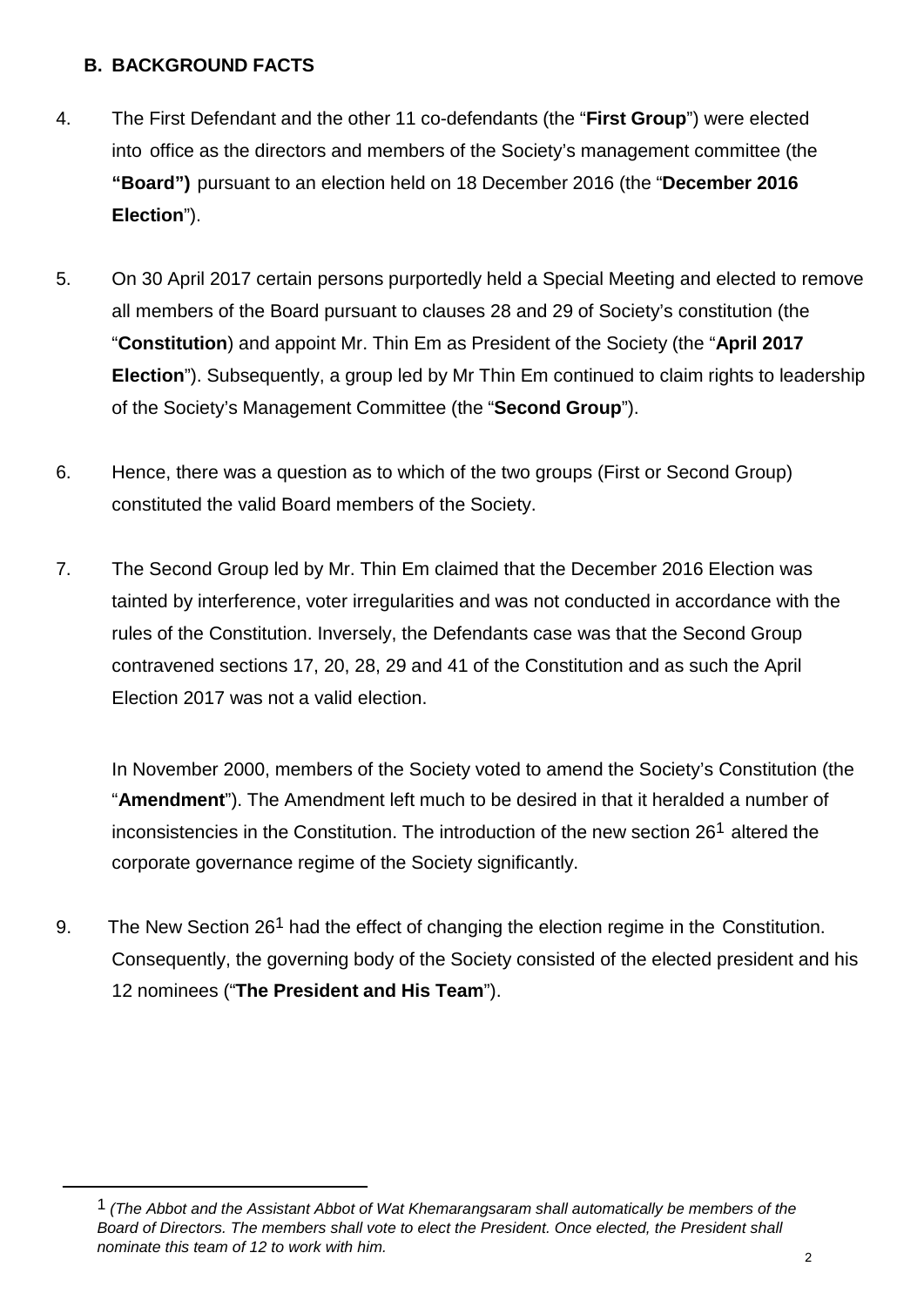# **B. BACKGROUND FACTS**

- 4. The First Defendant and the other 11 co-defendants (the "**First Group**") were elected into office as the directors and members of the Society's management committee (the **"Board")** pursuant to an election held on 18 December 2016 (the "**December 2016 Election**").
- 5. On 30 April 2017 certain persons purportedly held a Special Meeting and elected to remove all members of the Board pursuant to clauses 28 and 29 of Society's constitution (the "**Constitution**) and appoint Mr. Thin Em as President of the Society (the "**April 2017 Election**"). Subsequently, a group led by Mr Thin Em continued to claim rights to leadership of the Society's Management Committee (the "**Second Group**").
- 6. Hence, there was a question as to which of the two groups (First or Second Group) constituted the valid Board members of the Society.
- 7. The Second Group led by Mr. Thin Em claimed that the December 2016 Election was tainted by interference, voter irregularities and was not conducted in accordance with the rules of the Constitution. Inversely, the Defendants case was that the Second Group contravened sections 17, 20, 28, 29 and 41 of the Constitution and as such the April Election 2017 was not a valid election.

In November 2000, members of the Society voted to amend the Society's Constitution (the "**Amendment**"). The Amendment left much to be desired in that it heralded a number of inconsistencies in the Constitution. The introduction of the new section 261 altered the corporate governance regime of the Society significantly.

9. The New Section 261 had the effect of changing the election regime in the Constitution. Consequently, the governing body of the Society consisted of the elected president and his 12 nominees ("**The President and His Team**").

Board of Directors. The members shall vote to elect the President. Once elected, the President shall 1 *(The Abbot and the Assistant Abbot of Wat Khemarangsaram shall automatically be members of the nominate this team of 12 to work with him.*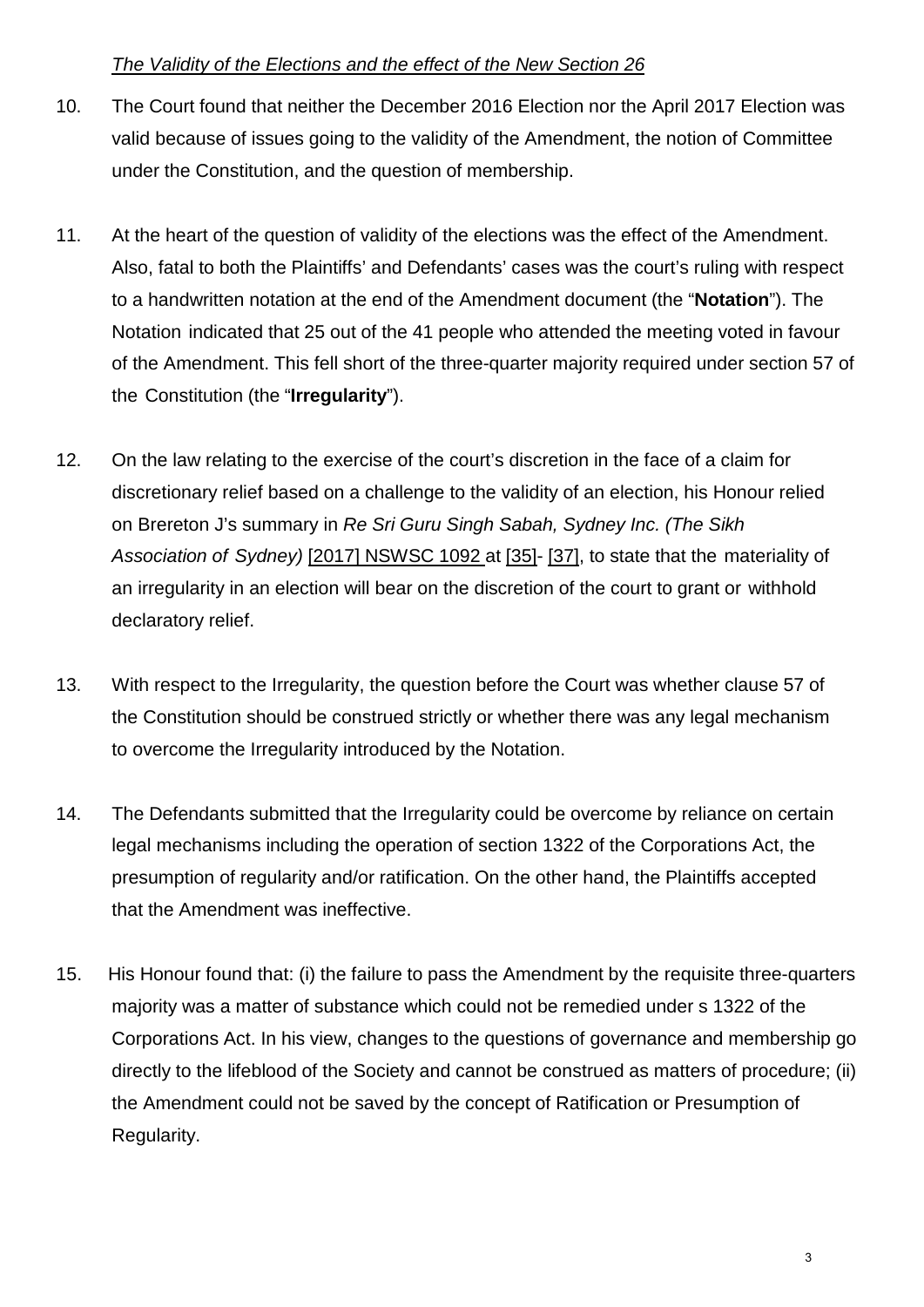## *The Validity of the Elections and the effect of the New Section 26*

- 10. The Court found that neither the December 2016 Election nor the April 2017 Election was valid because of issues going to the validity of the Amendment, the notion of Committee under the Constitution, and the question of membership.
- 11. At the heart of the question of validity of the elections was the effect of the Amendment. Also, fatal to both the Plaintiffs' and Defendants' cases was the court's ruling with respect to a handwritten notation at the end of the Amendment document (the "**Notation**"). The Notation indicated that 25 out of the 41 people who attended the meeting voted in favour of the Amendment. This fell short of the three-quarter majority required under section 57 of the Constitution (the "**Irregularity**").
- 12. On the law relating to the exercise of the court's discretion in the face of a claim for discretionary relief based on a challenge to the validity of an election, his Honour relied on Brereton J's summary in *Re Sri Guru Singh Sabah, Sydney Inc. (The Sikh Association of Sydney)* [2017] NSWSC 1092 at [35]- [37], to state that the materiality of an irregularity in an election will bear on the discretion of the court to grant or withhold declaratory relief.
- 13. With respect to the Irregularity, the question before the Court was whether clause 57 of the Constitution should be construed strictly or whether there was any legal mechanism to overcome the Irregularity introduced by the Notation.
- 14. The Defendants submitted that the Irregularity could be overcome by reliance on certain legal mechanisms including the operation of section 1322 of the Corporations Act, the presumption of regularity and/or ratification. On the other hand, the Plaintiffs accepted that the Amendment was ineffective.
- 15. His Honour found that: (i) the failure to pass the Amendment by the requisite three-quarters majority was a matter of substance which could not be remedied under s 1322 of the Corporations Act. In his view, changes to the questions of governance and membership go directly to the lifeblood of the Society and cannot be construed as matters of procedure; (ii) the Amendment could not be saved by the concept of Ratification or Presumption of Regularity.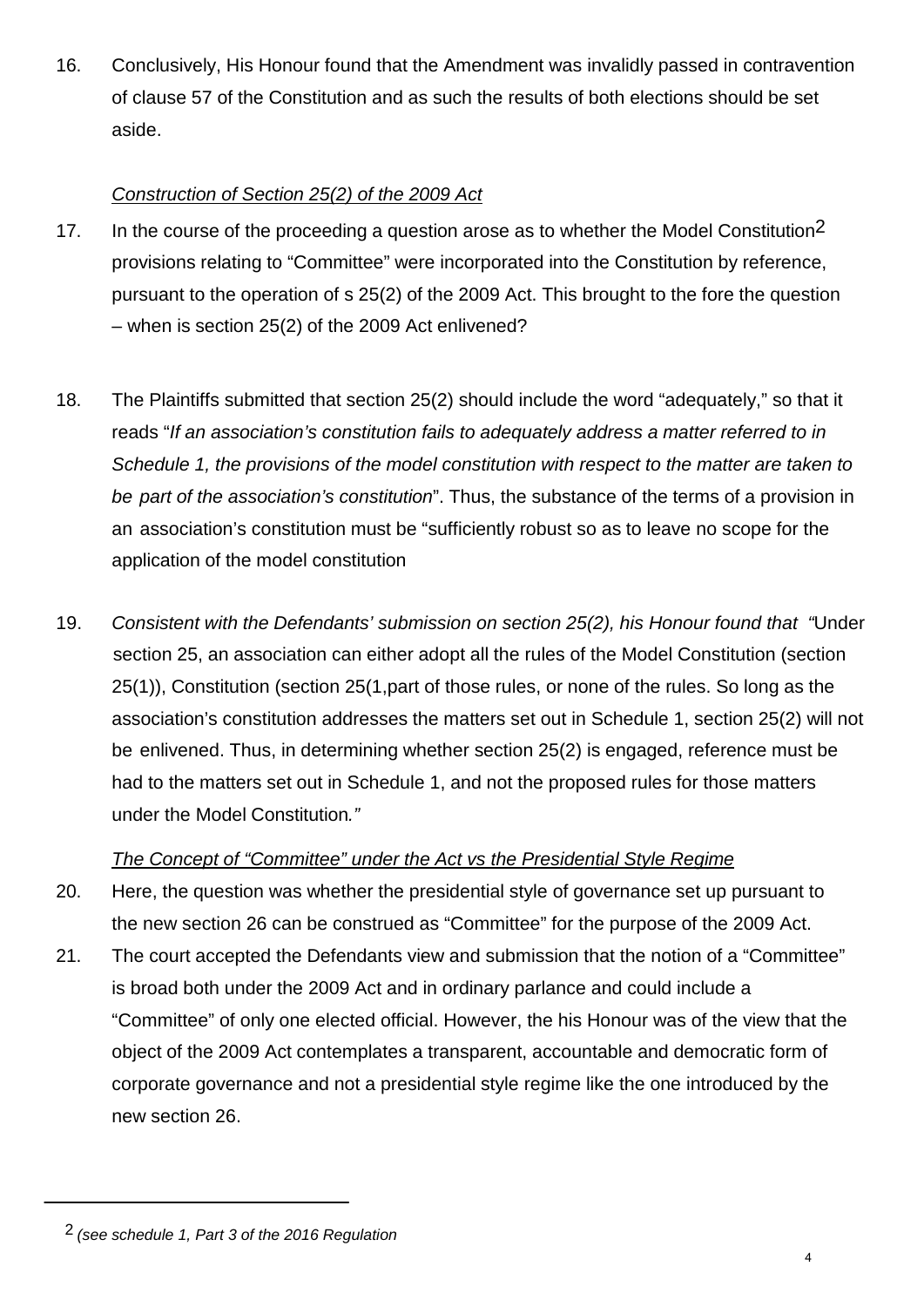16. Conclusively, His Honour found that the Amendment was invalidly passed in contravention of clause 57 of the Constitution and as such the results of both elections should be set aside.

# *Construction of Section 25(2) of the 2009 Act*

- 17. In the course of the proceeding a question arose as to whether the Model Constitution<sup>2</sup> provisions relating to "Committee" were incorporated into the Constitution by reference, pursuant to the operation of s 25(2) of the 2009 Act. This brought to the fore the question – when is section 25(2) of the 2009 Act enlivened?
- 18. The Plaintiffs submitted that section 25(2) should include the word "adequately," so that it reads "*If an association's constitution fails to adequately address a matter referred to in Schedule 1, the provisions of the model constitution with respect to the matter are taken to be part of the association's constitution*". Thus, the substance of the terms of a provision in an association's constitution must be "sufficiently robust so as to leave no scope for the application of the model constitution
- 19. *Consistent with the Defendants' submission on section 25(2), his Honour found that "*Under section 25, an association can either adopt all the rules of the Model Constitution (section 25(1)), Constitution (section 25(1,part of those rules, or none of the rules. So long as the association's constitution addresses the matters set out in Schedule 1, section 25(2) will not be enlivened. Thus, in determining whether section 25(2) is engaged, reference must be had to the matters set out in Schedule 1, and not the proposed rules for those matters under the Model Constitution*."*

## *The Concept of "Committee" under the Act vs the Presidential Style Regime*

- 20. Here, the question was whether the presidential style of governance set up pursuant to the new section 26 can be construed as "Committee" for the purpose of the 2009 Act.
- 21. The court accepted the Defendants view and submission that the notion of a "Committee" is broad both under the 2009 Act and in ordinary parlance and could include a "Committee" of only one elected official. However, the his Honour was of the view that the object of the 2009 Act contemplates a transparent, accountable and democratic form of corporate governance and not a presidential style regime like the one introduced by the new section 26.

<sup>2</sup> *(see schedule 1, Part 3 of the 2016 Regulation*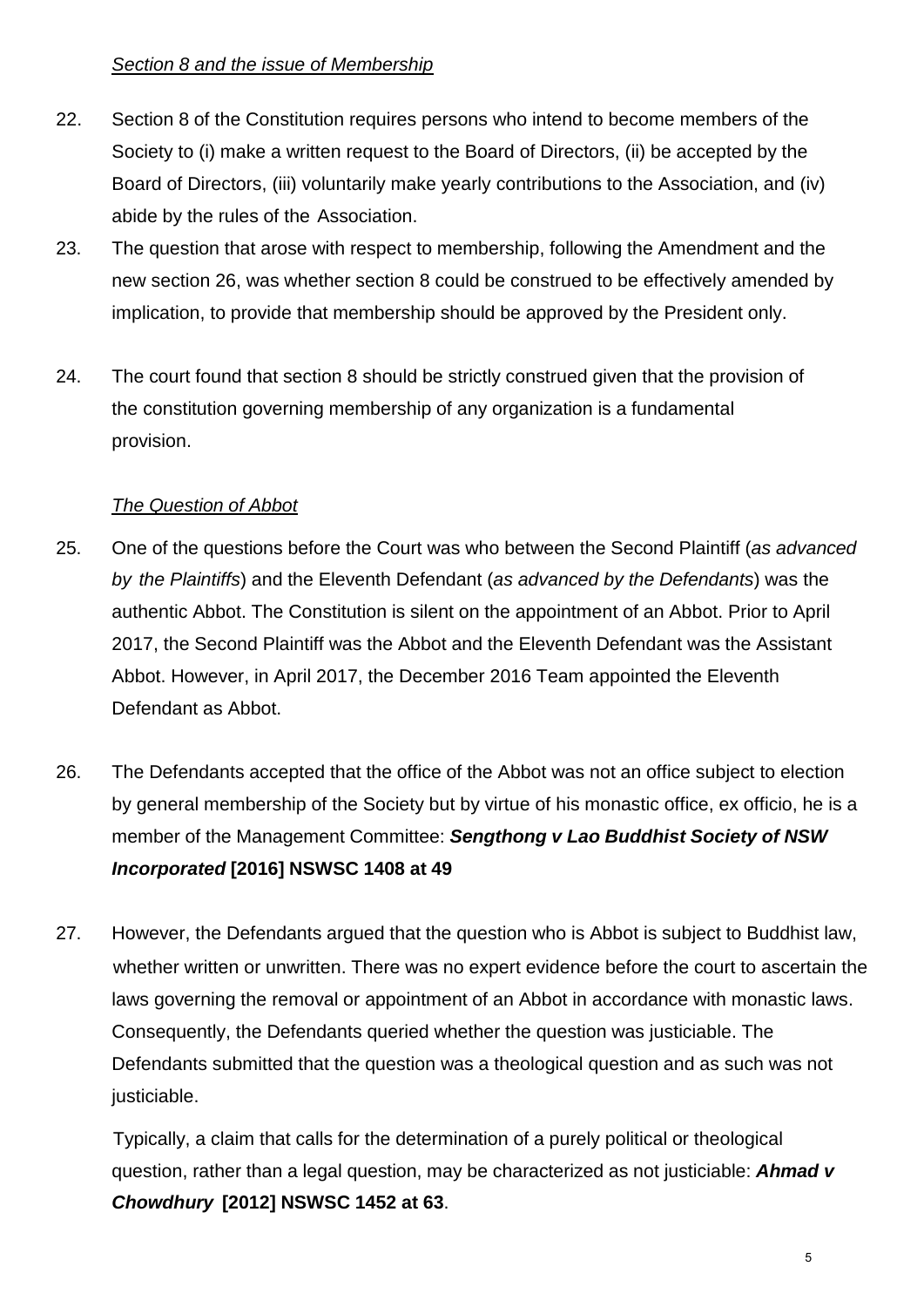## *Section 8 and the issue of Membership*

- 22. Section 8 of the Constitution requires persons who intend to become members of the Society to (i) make a written request to the Board of Directors, (ii) be accepted by the Board of Directors, (iii) voluntarily make yearly contributions to the Association, and (iv) abide by the rules of the Association.
- 23. The question that arose with respect to membership, following the Amendment and the new section 26, was whether section 8 could be construed to be effectively amended by implication, to provide that membership should be approved by the President only.
- 24. The court found that section 8 should be strictly construed given that the provision of the constitution governing membership of any organization is a fundamental provision.

# *The Question of Abbot*

- 25. One of the questions before the Court was who between the Second Plaintiff (*as advanced by the Plaintiffs*) and the Eleventh Defendant (*as advanced by the Defendants*) was the authentic Abbot. The Constitution is silent on the appointment of an Abbot. Prior to April 2017, the Second Plaintiff was the Abbot and the Eleventh Defendant was the Assistant Abbot. However, in April 2017, the December 2016 Team appointed the Eleventh Defendant as Abbot.
- 26. The Defendants accepted that the office of the Abbot was not an office subject to election by general membership of the Society but by virtue of his monastic office, ex officio, he is a member of the Management Committee: *Sengthong v Lao Buddhist Society of NSW Incorporated* **[2016] NSWSC 1408 at 49**
- 27. However, the Defendants argued that the question who is Abbot is subject to Buddhist law, whether written or unwritten. There was no expert evidence before the court to ascertain the laws governing the removal or appointment of an Abbot in accordance with monastic laws. Consequently, the Defendants queried whether the question was justiciable. The Defendants submitted that the question was a theological question and as such was not justiciable.

 Typically, a claim that calls for the determination of a purely political or theological question, rather than a legal question, may be characterized as not justiciable: *Ahmad v Chowdhury* **[2012] NSWSC 1452 at 63**.